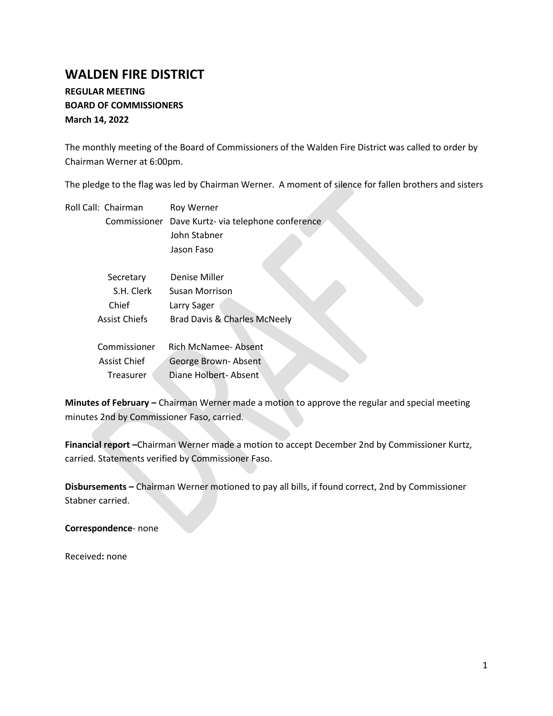# **WALDEN FIRE DISTRICT**

## **REGULAR MEETING BOARD OF COMMISSIONERS March 14, 2022**

The monthly meeting of the Board of Commissioners of the Walden Fire District was called to order by Chairman Werner at 6:00pm.

The pledge to the flag was led by Chairman Werner. A moment of silence for fallen brothers and sisters

| Roll Call: Chairman  | Roy Werner                           |  |  |  |  |
|----------------------|--------------------------------------|--|--|--|--|
| Commissioner         | Dave Kurtz- via telephone conference |  |  |  |  |
|                      | John Stabner                         |  |  |  |  |
|                      | Jason Faso                           |  |  |  |  |
| Secretary            | Denise Miller                        |  |  |  |  |
| S.H. Clerk           | Susan Morrison                       |  |  |  |  |
| Chief                | Larry Sager                          |  |  |  |  |
| <b>Assist Chiefs</b> | Brad Davis & Charles McNeely         |  |  |  |  |
| Commissioner         | Rich McNamee-Absent                  |  |  |  |  |
| <b>Assist Chief</b>  | George Brown-Absent                  |  |  |  |  |
| Treasurer            | Diane Holbert-Absent                 |  |  |  |  |

**Minutes of February –** Chairman Werner made a motion to approve the regular and special meeting minutes 2nd by Commissioner Faso, carried.

**Financial report –**Chairman Werner made a motion to accept December 2nd by Commissioner Kurtz, carried. Statements verified by Commissioner Faso.

**Disbursements –** Chairman Werner motioned to pay all bills, if found correct, 2nd by Commissioner Stabner carried.

**Correspondence**- none

Received**:** none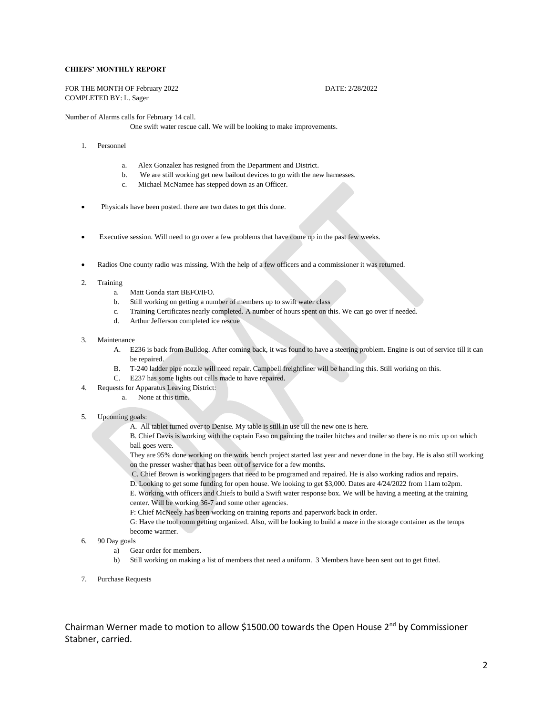#### **CHIEFS' MONTHLY REPORT**

FOR THE MONTH OF February 2022 DATE: 2/28/2022 COMPLETED BY: L. Sager

Number of Alarms calls for February 14 call.

One swift water rescue call. We will be looking to make improvements.

- 1. Personnel
	- a. Alex Gonzalez has resigned from the Department and District.
	- b. We are still working get new bailout devices to go with the new harnesses.
	- c. Michael McNamee has stepped down as an Officer.
- Physicals have been posted. there are two dates to get this done.
- Executive session. Will need to go over a few problems that have come up in the past few weeks.
- Radios One county radio was missing. With the help of a few officers and a commissioner it was returned.
- 2. Training
	- a. Matt Gonda start BEFO/IFO.
	- b. Still working on getting a number of members up to swift water class
	- c. Training Certificates nearly completed. A number of hours spent on this. We can go over if needed.
	- d. Arthur Jefferson completed ice rescue
- 3. Maintenance
	- A. E236 is back from Bulldog. After coming back, it was found to have a steering problem. Engine is out of service till it can be repaired.
	- B. T-240 ladder pipe nozzle will need repair. Campbell freightliner will be handling this. Still working on this.
	- C. E237 has some lights out calls made to have repaired.
- 4. Requests for Apparatus Leaving District:
	- a. None at this time.
- 5. Upcoming goals:
	- A. All tablet turned over to Denise. My table is still in use till the new one is here.

B. Chief Davis is working with the captain Faso on painting the trailer hitches and trailer so there is no mix up on which ball goes were.

They are 95% done working on the work bench project started last year and never done in the bay. He is also still working on the presser washer that has been out of service for a few months.

C. Chief Brown is working pagers that need to be programed and repaired. He is also working radios and repairs.

D. Looking to get some funding for open house. We looking to get \$3,000. Dates are 4/24/2022 from 11am to2pm.

E. Working with officers and Chiefs to build a Swift water response box. We will be having a meeting at the training center. Will be working 36-7 and some other agencies.

F: Chief McNeely has been working on training reports and paperwork back in order.

G: Have the tool room getting organized. Also, will be looking to build a maze in the storage container as the temps become warmer.

- 6. 90 Day goals
	- a) Gear order for members.
	- b) Still working on making a list of members that need a uniform. 3 Members have been sent out to get fitted.
- 7. Purchase Requests

Chairman Werner made to motion to allow \$1500.00 towards the Open House 2nd by Commissioner Stabner, carried.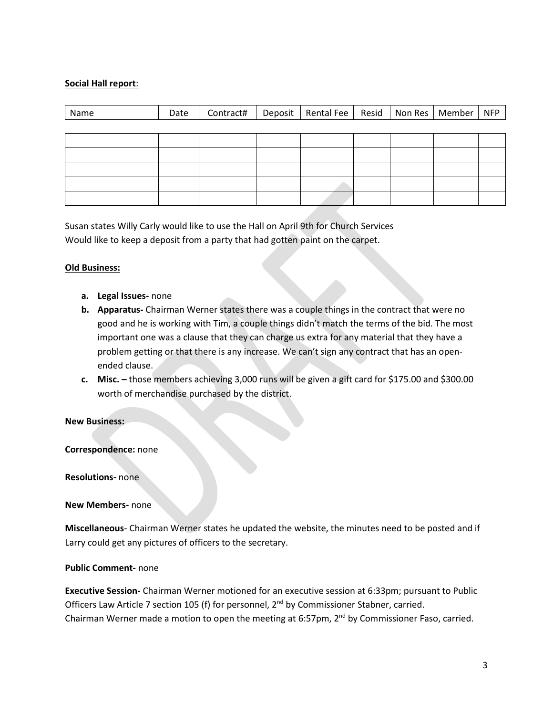### **Social Hall report**:

| Name | Date |  | Contract#   Deposit   Rental Fee   Resid   Non Res   Member |  | <b>NFP</b> |
|------|------|--|-------------------------------------------------------------|--|------------|
|      |      |  |                                                             |  |            |
|      |      |  |                                                             |  |            |
|      |      |  |                                                             |  |            |
|      |      |  |                                                             |  |            |
|      |      |  |                                                             |  |            |
|      |      |  |                                                             |  |            |

Susan states Willy Carly would like to use the Hall on April 9th for Church Services Would like to keep a deposit from a party that had gotten paint on the carpet.

#### **Old Business:**

- **a. Legal Issues-** none
- **b. Apparatus-** Chairman Werner states there was a couple things in the contract that were no good and he is working with Tim, a couple things didn't match the terms of the bid. The most important one was a clause that they can charge us extra for any material that they have a problem getting or that there is any increase. We can't sign any contract that has an openended clause.
- **c. Misc. –** those members achieving 3,000 runs will be given a gift card for \$175.00 and \$300.00 worth of merchandise purchased by the district.

#### **New Business:**

#### **Correspondence:** none

**Resolutions-** none

**New Members-** none

**Miscellaneous**- Chairman Werner states he updated the website, the minutes need to be posted and if Larry could get any pictures of officers to the secretary.

#### **Public Comment-** none

**Executive Session-** Chairman Werner motioned for an executive session at 6:33pm; pursuant to Public Officers Law Article 7 section 105 (f) for personnel, 2<sup>nd</sup> by Commissioner Stabner, carried. Chairman Werner made a motion to open the meeting at 6:57pm,  $2^{nd}$  by Commissioner Faso, carried.